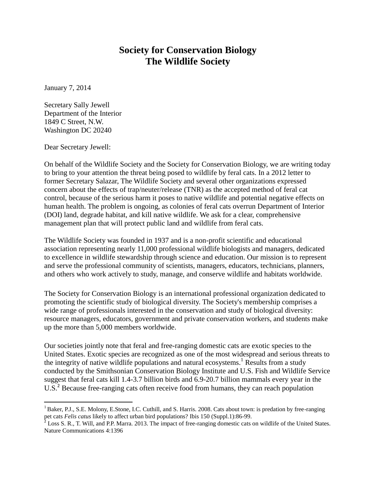## **Society for Conservation Biology The Wildlife Society**

January 7, 2014

Secretary Sally Jewell Department of the Interior 1849 C Street, N.W. Washington DC 20240

Dear Secretary Jewell:

 $\overline{a}$ 

On behalf of the Wildlife Society and the Society for Conservation Biology, we are writing today to bring to your attention the threat being posed to wildlife by feral cats. In a 2012 letter to former Secretary Salazar, The Wildlife Society and several other organizations expressed concern about the effects of trap/neuter/release (TNR) as the accepted method of feral cat control, because of the serious harm it poses to native wildlife and potential negative effects on human health. The problem is ongoing, as colonies of feral cats overrun Department of Interior (DOI) land, degrade habitat, and kill native wildlife. We ask for a clear, comprehensive management plan that will protect public land and wildlife from feral cats.

The Wildlife Society was founded in 1937 and is a non-profit scientific and educational association representing nearly 11,000 professional wildlife biologists and managers, dedicated to excellence in wildlife stewardship through science and education. Our mission is to represent and serve the professional community of scientists, managers, educators, technicians, planners, and others who work actively to study, manage, and conserve wildlife and habitats worldwide.

The Society for Conservation Biology is an international professional organization dedicated to promoting the scientific study of biological diversity. The Society's membership comprises a wide range of professionals interested in the conservation and study of biological diversity: resource managers, educators, government and private conservation workers, and students make up the more than 5,000 members worldwide.

Our societies jointly note that feral and free-ranging domestic cats are exotic species to the United States. Exotic species are recognized as one of the most widespread and serious threats to the integrity of native wildlife populations and natural ecosystems.<sup>1</sup> Results from a study conducted by the Smithsonian Conservation Biology Institute and U.S. Fish and Wildlife Service suggest that feral cats kill 1.4-3.7 billion birds and 6.9-20.7 billion mammals every year in the U.S.<sup>2</sup> Because free-ranging cats often receive food from humans, they can reach population

<sup>&</sup>lt;sup>1</sup> Baker, P.J., S.E. Molony, E.Stone, I.C. Cuthill, and S. Harris. 2008. Cats about town: is predation by free-ranging pet cats *Felis catus* likely to affect urban bird populations? Ibis 150 (Suppl.1):86-99.

 $2^2$  Loss S. R., T. Will, and P.P. Marra. 2013. The impact of free-ranging domestic cats on wildlife of the United States. Nature Communications 4:1396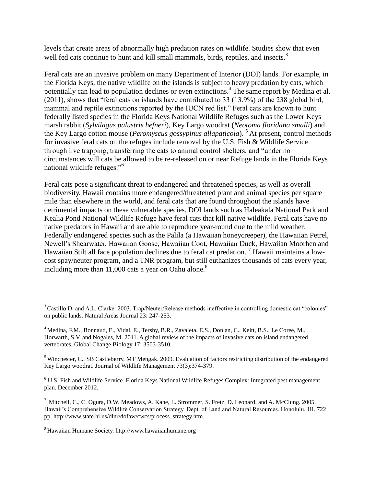levels that create areas of abnormally high predation rates on wildlife. Studies show that even well fed cats continue to hunt and kill small mammals, birds, reptiles, and insects.<sup>3</sup>

Feral cats are an invasive problem on many Department of Interior (DOI) lands. For example, in the Florida Keys, the native wildlife on the islands is subject to heavy predation by cats, which potentially can lead to population declines or even extinctions.<sup>4</sup> The same report by Medina et al. (2011), shows that "feral cats on islands have contributed to 33 (13.9%) of the 238 global bird, mammal and reptile extinctions reported by the IUCN red list." Feral cats are known to hunt federally listed species in the Florida Keys National Wildlife Refuges such as the Lower Keys marsh rabbit (*Sylvilagus palustris hefneri*), Key Largo woodrat (*Neotoma floridana smalli*) and the Key Largo cotton mouse (*Peromyscus gossypinus allapaticola*). <sup>5</sup> At present, control methods for invasive feral cats on the refuges include removal by the U.S. Fish & Wildlife Service through live trapping, transferring the cats to animal control shelters, and "under no circumstances will cats be allowed to be re-released on or near Refuge lands in the Florida Keys national wildlife refuges."<sup>6</sup>

Feral cats pose a significant threat to endangered and threatened species, as well as overall biodiversity. Hawaii contains more endangered/threatened plant and animal species per square mile than elsewhere in the world, and feral cats that are found throughout the islands have detrimental impacts on these vulnerable species. DOI lands such as Haleakala National Park and Kealia Pond National Wildlife Refuge have feral cats that kill native wildlife. Feral cats have no native predators in Hawaii and are able to reproduce year-round due to the mild weather. Federally endangered species such as the Palila (a Hawaiian honeycreeper), the Hawaiian Petrel, Newell's Shearwater, Hawaiian Goose, Hawaiian Coot, Hawaiian Duck, Hawaiian Moorhen and Hawaiian Stilt all face population declines due to feral cat predation.<sup>7</sup> Hawaii maintains a lowcost spay/neuter program, and a TNR program, but still euthanizes thousands of cats every year, including more than  $11,000$  cats a year on Oahu alone.<sup>8</sup>

<sup>8</sup> Hawaiian Humane Society. http://www.hawaiianhumane.org

 $\overline{a}$ 

<sup>&</sup>lt;sup>3</sup> Castillo D. and A.L. Clarke. 2003. Trap/Neuter/Release methods ineffective in controlling domestic cat "colonies" on public lands. Natural Areas Journal 23: 247-253.

<sup>4</sup> Medina, F.M., Bonnaud, E., Vidal, E., Tershy, B.R., Zavaleta, E.S., Donlan, C., Keitt, B.S., Le Coree, M., Horwarth, S.V. and Nogales, M. 2011. A global review of the impacts of invasive cats on island endangered vertebrates. Global Change Biology 17: 3503-3510.

<sup>5</sup> Winchester, C., SB Castleberry, MT Mengak. 2009. Evaluation of factors restricting distribution of the endangered Key Largo woodrat. Journal of Wildlife Management 73(3):374-379.

<sup>6</sup> U.S. Fish and Wildlife Service. Florida Keys National Wildlife Refuges Complex: Integrated pest management plan. December 2012.

<sup>7</sup> Mitchell, C., C. Ogura, D.W. Meadows, A. Kane, L. Strommer, S. Fretz, D. Leonard, and A. McClung. 2005. Hawaii's Comprehensive Wildlife Conservation Strategy. Dept. of Land and Natural Resources. Honolulu, HI. 722 pp. http://www.state.hi.us/dlnr/dofaw/cwcs/process\_strategy.htm.